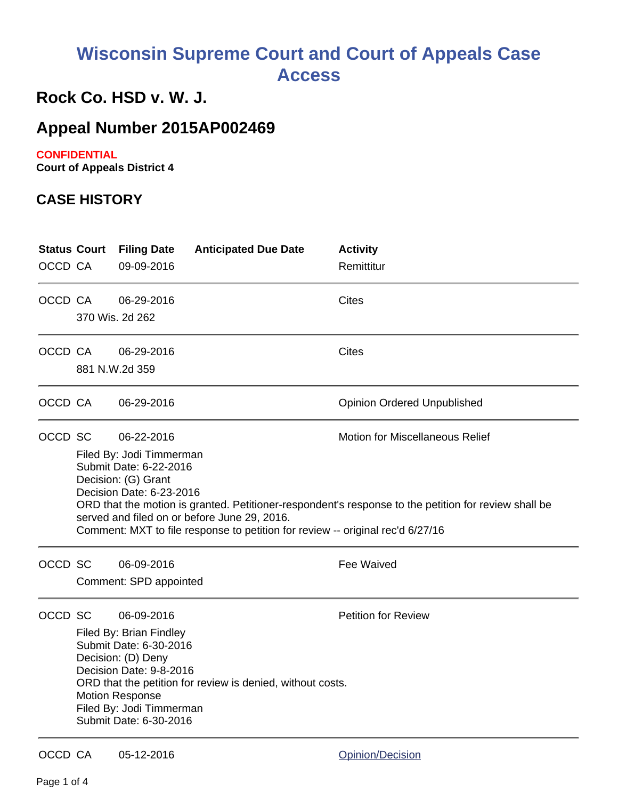# **Wisconsin Supreme Court and Court of Appeals Case Access**

## **Rock Co. HSD v. W. J.**

## **Appeal Number 2015AP002469**

#### **CONFIDENTIAL**

**Court of Appeals District 4**

### **CASE HISTORY**

| OCCD CA | <b>Status Court</b>                                                                                                                                                                                                                                                                                                                                                                                     | <b>Filing Date</b><br>09-09-2016     | <b>Anticipated Due Date</b> | <b>Activity</b><br>Remittitur      |  |
|---------|---------------------------------------------------------------------------------------------------------------------------------------------------------------------------------------------------------------------------------------------------------------------------------------------------------------------------------------------------------------------------------------------------------|--------------------------------------|-----------------------------|------------------------------------|--|
| OCCD CA |                                                                                                                                                                                                                                                                                                                                                                                                         | 06-29-2016<br>370 Wis. 2d 262        |                             | Cites                              |  |
| OCCD CA |                                                                                                                                                                                                                                                                                                                                                                                                         | 06-29-2016<br>881 N.W.2d 359         |                             | <b>Cites</b>                       |  |
| OCCD CA |                                                                                                                                                                                                                                                                                                                                                                                                         | 06-29-2016                           |                             | <b>Opinion Ordered Unpublished</b> |  |
| OCCD SC | <b>Motion for Miscellaneous Relief</b><br>06-22-2016<br>Filed By: Jodi Timmerman<br>Submit Date: 6-22-2016<br>Decision: (G) Grant<br>Decision Date: 6-23-2016<br>ORD that the motion is granted. Petitioner-respondent's response to the petition for review shall be<br>served and filed on or before June 29, 2016.<br>Comment: MXT to file response to petition for review -- original rec'd 6/27/16 |                                      |                             |                                    |  |
| OCCD SC |                                                                                                                                                                                                                                                                                                                                                                                                         | 06-09-2016<br>Comment: SPD appointed |                             | Fee Waived                         |  |
| OCCD SC | <b>Petition for Review</b><br>06-09-2016<br>Filed By: Brian Findley<br>Submit Date: 6-30-2016<br>Decision: (D) Deny<br>Decision Date: 9-8-2016<br>ORD that the petition for review is denied, without costs.<br><b>Motion Response</b><br>Filed By: Jodi Timmerman<br>Submit Date: 6-30-2016                                                                                                            |                                      |                             |                                    |  |
| OCCD CA |                                                                                                                                                                                                                                                                                                                                                                                                         | 05-12-2016                           |                             | Opinion/Decision                   |  |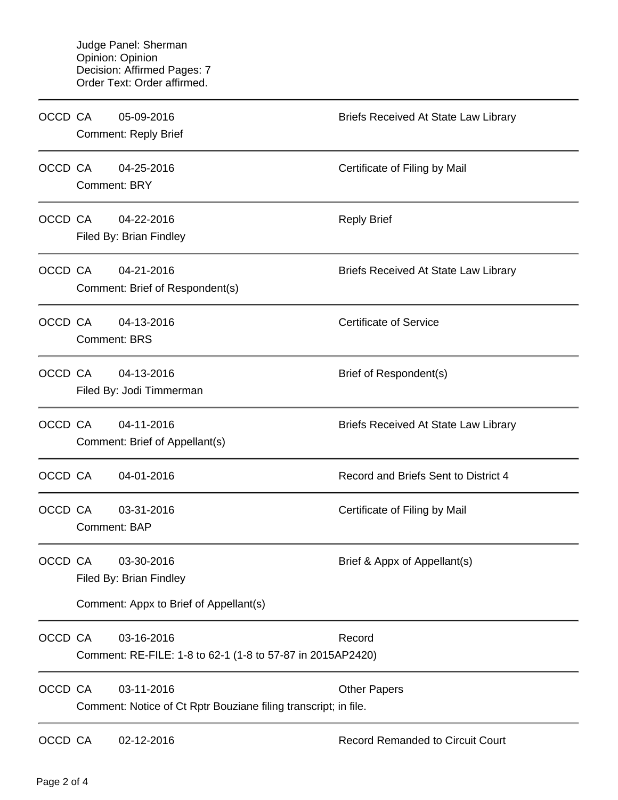| OCCD CA |              | 05-09-2016<br><b>Comment: Reply Brief</b>                                       | <b>Briefs Received At State Law Library</b> |
|---------|--------------|---------------------------------------------------------------------------------|---------------------------------------------|
| OCCD CA |              | 04-25-2016<br><b>Comment: BRY</b>                                               | Certificate of Filing by Mail               |
| OCCD CA |              | 04-22-2016<br>Filed By: Brian Findley                                           | <b>Reply Brief</b>                          |
| OCCD CA |              | 04-21-2016<br>Comment: Brief of Respondent(s)                                   | <b>Briefs Received At State Law Library</b> |
| OCCD CA |              | 04-13-2016<br><b>Comment: BRS</b>                                               | <b>Certificate of Service</b>               |
| OCCD CA |              | 04-13-2016<br>Filed By: Jodi Timmerman                                          | Brief of Respondent(s)                      |
| OCCD CA |              | 04-11-2016<br>Comment: Brief of Appellant(s)                                    | <b>Briefs Received At State Law Library</b> |
| OCCD CA |              | 04-01-2016                                                                      | Record and Briefs Sent to District 4        |
| OCCD CA | Comment: BAP | 03-31-2016                                                                      | Certificate of Filing by Mail               |
| OCCD CA |              | 03-30-2016<br>Filed By: Brian Findley<br>Comment: Appx to Brief of Appellant(s) | Brief & Appx of Appellant(s)                |
| OCCD CA |              | 03-16-2016<br>Comment: RE-FILE: 1-8 to 62-1 (1-8 to 57-87 in 2015AP2420)        | Record                                      |
| OCCD CA |              | 03-11-2016<br>Comment: Notice of Ct Rptr Bouziane filing transcript; in file.   | <b>Other Papers</b>                         |
| OCCD CA |              | 02-12-2016                                                                      | <b>Record Remanded to Circuit Court</b>     |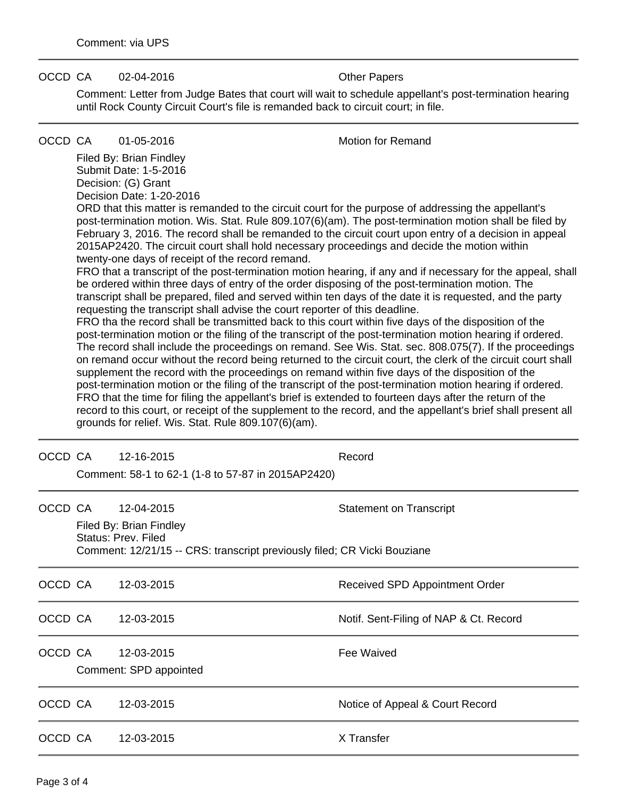#### OCCD CA 02-04-2016 COCCD CA 02-04-2016

Comment: Letter from Judge Bates that court will wait to schedule appellant's post-termination hearing until Rock County Circuit Court's file is remanded back to circuit court; in file.

#### OCCD CA 01-05-2016 Motion for Remand

Filed By: Brian Findley Submit Date: 1-5-2016 Decision: (G) Grant Decision Date: 1-20-2016

ORD that this matter is remanded to the circuit court for the purpose of addressing the appellant's post-termination motion. Wis. Stat. Rule 809.107(6)(am). The post-termination motion shall be filed by February 3, 2016. The record shall be remanded to the circuit court upon entry of a decision in appeal 2015AP2420. The circuit court shall hold necessary proceedings and decide the motion within twenty-one days of receipt of the record remand.

FRO that a transcript of the post-termination motion hearing, if any and if necessary for the appeal, shall be ordered within three days of entry of the order disposing of the post-termination motion. The transcript shall be prepared, filed and served within ten days of the date it is requested, and the party requesting the transcript shall advise the court reporter of this deadline.

FRO tha the record shall be transmitted back to this court within five days of the disposition of the post-termination motion or the filing of the transcript of the post-termination motion hearing if ordered. The record shall include the proceedings on remand. See Wis. Stat. sec. 808.075(7). If the proceedings on remand occur without the record being returned to the circuit court, the clerk of the circuit court shall supplement the record with the proceedings on remand within five days of the disposition of the post-termination motion or the filing of the transcript of the post-termination motion hearing if ordered. FRO that the time for filing the appellant's brief is extended to fourteen days after the return of the record to this court, or receipt of the supplement to the record, and the appellant's brief shall present all grounds for relief. Wis. Stat. Rule 809.107(6)(am).

| OCCD CA |                                                                                                                            | 12-16-2015                                         | Record                                 |  |  |
|---------|----------------------------------------------------------------------------------------------------------------------------|----------------------------------------------------|----------------------------------------|--|--|
|         |                                                                                                                            | Comment: 58-1 to 62-1 (1-8 to 57-87 in 2015AP2420) |                                        |  |  |
| OCCD CA |                                                                                                                            | 12-04-2015                                         | <b>Statement on Transcript</b>         |  |  |
|         | Filed By: Brian Findley<br>Status: Prev. Filed<br>Comment: 12/21/15 -- CRS: transcript previously filed; CR Vicki Bouziane |                                                    |                                        |  |  |
| OCCD CA |                                                                                                                            | 12-03-2015                                         | Received SPD Appointment Order         |  |  |
| OCCD CA |                                                                                                                            | 12-03-2015                                         | Notif. Sent-Filing of NAP & Ct. Record |  |  |
| OCCD CA |                                                                                                                            | 12-03-2015<br>Comment: SPD appointed               | Fee Waived                             |  |  |
| OCCD CA |                                                                                                                            | 12-03-2015                                         | Notice of Appeal & Court Record        |  |  |
| OCCD CA |                                                                                                                            | 12-03-2015                                         | X Transfer                             |  |  |